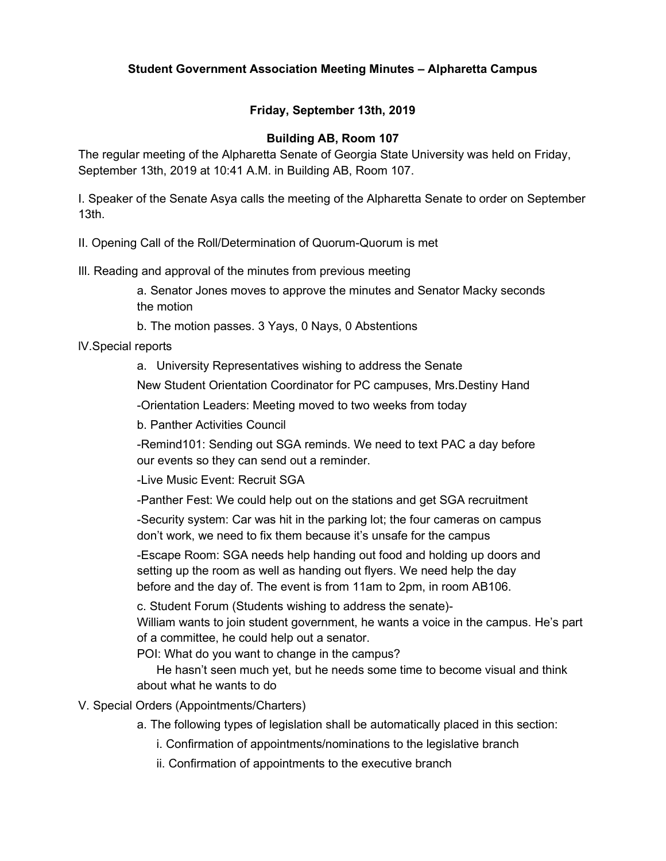# **Friday, September 13th, 2019**

## **Building AB, Room 107**

The regular meeting of the Alpharetta Senate of Georgia State University was held on Friday, September 13th, 2019 at 10:41 A.M. in Building AB, Room 107.

I. Speaker of the Senate Asya calls the meeting of the Alpharetta Senate to order on September 13th.

II. Opening Call of the Roll/Determination of Quorum-Quorum is met

Ill. Reading and approval of the minutes from previous meeting

a. Senator Jones moves to approve the minutes and Senator Macky seconds the motion

b. The motion passes. 3 Yays, 0 Nays, 0 Abstentions

lV.Special reports

a. University Representatives wishing to address the Senate

New Student Orientation Coordinator for PC campuses, Mrs.Destiny Hand

-Orientation Leaders: Meeting moved to two weeks from today

b. Panther Activities Council

-Remind101: Sending out SGA reminds. We need to text PAC a day before our events so they can send out a reminder.

-Live Music Event: Recruit SGA

-Panther Fest: We could help out on the stations and get SGA recruitment

-Security system: Car was hit in the parking lot; the four cameras on campus don't work, we need to fix them because it's unsafe for the campus

-Escape Room: SGA needs help handing out food and holding up doors and setting up the room as well as handing out flyers. We need help the day before and the day of. The event is from 11am to 2pm, in room AB106.

c. Student Forum (Students wishing to address the senate)-

William wants to join student government, he wants a voice in the campus. He's part of a committee, he could help out a senator.

POI: What do you want to change in the campus?

He hasn't seen much yet, but he needs some time to become visual and think about what he wants to do

V. Special Orders (Appointments/Charters)

- a. The following types of legislation shall be automatically placed in this section:
	- i. Confirmation of appointments/nominations to the legislative branch
	- ii. Confirmation of appointments to the executive branch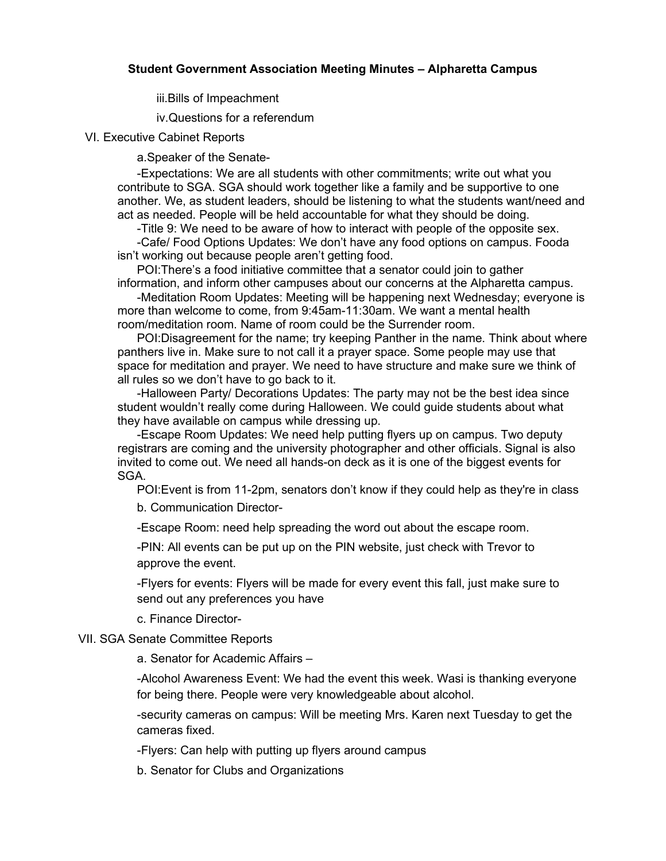iii.Bills of Impeachment

iv.Questions for a referendum

VI. Executive Cabinet Reports

a.Speaker of the Senate-

-Expectations: We are all students with other commitments; write out what you contribute to SGA. SGA should work together like a family and be supportive to one another. We, as student leaders, should be listening to what the students want/need and act as needed. People will be held accountable for what they should be doing.

-Title 9: We need to be aware of how to interact with people of the opposite sex. -Cafe/ Food Options Updates: We don't have any food options on campus. Fooda isn't working out because people aren't getting food.

POI:There's a food initiative committee that a senator could join to gather information, and inform other campuses about our concerns at the Alpharetta campus.

-Meditation Room Updates: Meeting will be happening next Wednesday; everyone is more than welcome to come, from 9:45am-11:30am. We want a mental health room/meditation room. Name of room could be the Surrender room.

POI:Disagreement for the name; try keeping Panther in the name. Think about where panthers live in. Make sure to not call it a prayer space. Some people may use that space for meditation and prayer. We need to have structure and make sure we think of all rules so we don't have to go back to it.

-Halloween Party/ Decorations Updates: The party may not be the best idea since student wouldn't really come during Halloween. We could guide students about what they have available on campus while dressing up.

-Escape Room Updates: We need help putting flyers up on campus. Two deputy registrars are coming and the university photographer and other officials. Signal is also invited to come out. We need all hands-on deck as it is one of the biggest events for SGA.

POI:Event is from 11-2pm, senators don't know if they could help as they're in class

b. Communication Director-

-Escape Room: need help spreading the word out about the escape room.

-PIN: All events can be put up on the PIN website, just check with Trevor to approve the event.

-Flyers for events: Flyers will be made for every event this fall, just make sure to send out any preferences you have

c. Finance Director-

#### VII. SGA Senate Committee Reports

a. Senator for Academic Affairs –

-Alcohol Awareness Event: We had the event this week. Wasi is thanking everyone for being there. People were very knowledgeable about alcohol.

-security cameras on campus: Will be meeting Mrs. Karen next Tuesday to get the cameras fixed.

-Flyers: Can help with putting up flyers around campus

b. Senator for Clubs and Organizations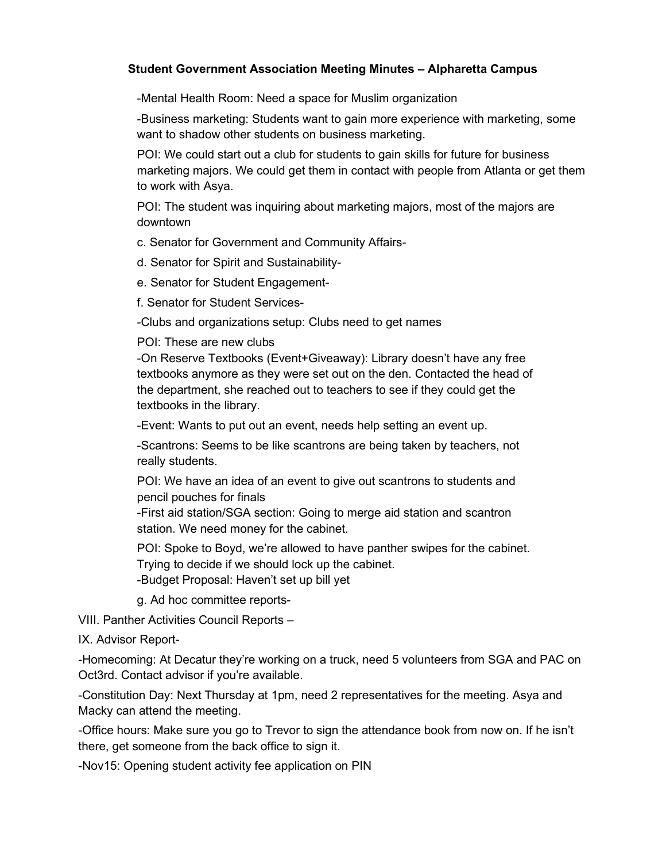-Mental Health Room: Need a space for Muslim organization

-Business marketing: Students want to gain more experience with marketing, some want to shadow other students on business marketing.

POI: We could start out a club for students to gain skills for future for business marketing majors. We could get them in contact with people from Atlanta or get them to work with Asya.

POI: The student was inquiring about marketing majors, most of the majors are downtown

c. Senator for Government and Community Affairs-

d. Senator for Spirit and Sustainability-

e. Senator for Student Engagement-

f. Senator for Student Services-

-Clubs and organizations setup: Clubs need to get names

#### POI: These are new clubs

-On Reserve Textbooks (Event+Giveaway): Library doesn't have any free textbooks anymore as they were set out on the den. Contacted the head of the department, she reached out to teachers to see if they could get the textbooks in the library.

-Event: Wants to put out an event, needs help setting an event up.

-Scantrons: Seems to be like scantrons are being taken by teachers, not really students.

POI: We have an idea of an event to give out scantrons to students and pencil pouches for finals

-First aid station/SGA section: Going to merge aid station and scantron station. We need money for the cabinet.

POI: Spoke to Boyd, we're allowed to have panther swipes for the cabinet. Trying to decide if we should lock up the cabinet. -Budget Proposal: Haven't set up bill yet

g. Ad hoc committee reports-

VIII. Panther Activities Council Reports –

IX. Advisor Report-

-Homecoming: At Decatur they're working on a truck, need 5 volunteers from SGA and PAC on Oct3rd. Contact advisor if you're available.

-Constitution Day: Next Thursday at 1pm, need 2 representatives for the meeting. Asya and Macky can attend the meeting.

-Office hours: Make sure you go to Trevor to sign the attendance book from now on. If he isn't there, get someone from the back office to sign it.

-Nov15: Opening student activity fee application on PIN